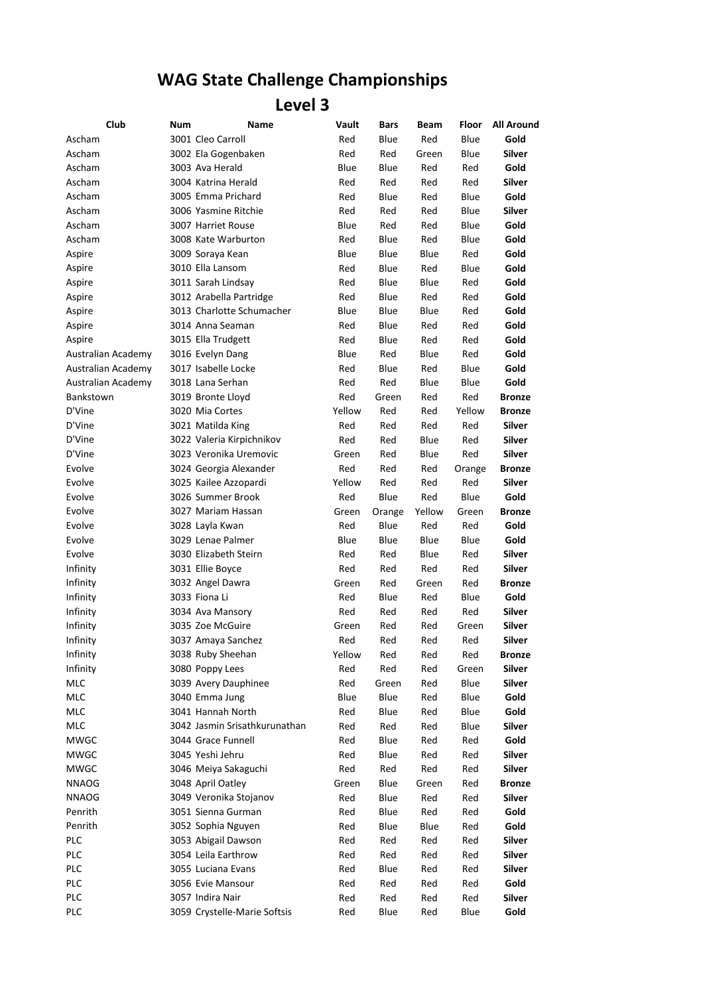## **WAG State Challenge Championships**

## **Level 3**

| Club               | Num | Name                          | Vault      | <b>Bars</b> | Beam        | Floor      | <b>All Around</b> |
|--------------------|-----|-------------------------------|------------|-------------|-------------|------------|-------------------|
| Ascham             |     | 3001 Cleo Carroll             | Red        | Blue        | Red         | Blue       | Gold              |
| Ascham             |     | 3002 Ela Gogenbaken           | Red        | Red         | Green       | Blue       | <b>Silver</b>     |
| Ascham             |     | 3003 Ava Herald               | Blue       | Blue        | Red         | Red        | Gold              |
| Ascham             |     | 3004 Katrina Herald           | Red        | Red         | Red         | Red        | Silver            |
| Ascham             |     | 3005 Emma Prichard            | Red        | Blue        | Red         | Blue       | Gold              |
| Ascham             |     | 3006 Yasmine Ritchie          | Red        | Red         | Red         | Blue       | Silver            |
| Ascham             |     | 3007 Harriet Rouse            | Blue       | Red         | Red         | Blue       | Gold              |
| Ascham             |     | 3008 Kate Warburton           | Red        | Blue        | Red         | Blue       | Gold              |
| Aspire             |     | 3009 Soraya Kean              | Blue       | Blue        | Blue        | Red        | Gold              |
| Aspire             |     | 3010 Ella Lansom              | Red        | Blue        | Red         | Blue       | Gold              |
| Aspire             |     | 3011 Sarah Lindsay            | Red        | Blue        | Blue        | Red        | Gold              |
| Aspire             |     | 3012 Arabella Partridge       | Red        | Blue        | Red         | Red        | Gold              |
| Aspire             |     | 3013 Charlotte Schumacher     | Blue       | Blue        | Blue        | Red        | Gold              |
| Aspire             |     | 3014 Anna Seaman              | Red        | Blue        | Red         | Red        | Gold              |
| Aspire             |     | 3015 Ella Trudgett            | Red        | Blue        | Red         | Red        | Gold              |
| Australian Academy |     | 3016 Evelyn Dang              | Blue       | Red         | Blue        | Red        | Gold              |
| Australian Academy |     | 3017 Isabelle Locke           | Red        | Blue        | Red         | Blue       | Gold              |
| Australian Academy |     | 3018 Lana Serhan              | Red        | Red         | Blue        | Blue       | Gold              |
| Bankstown          |     | 3019 Bronte Lloyd             | Red        | Green       | Red         | Red        | <b>Bronze</b>     |
| D'Vine             |     | 3020 Mia Cortes               | Yellow     | Red         | Red         | Yellow     | <b>Bronze</b>     |
| D'Vine             |     | 3021 Matilda King             | Red        | Red         | Red         | Red        | <b>Silver</b>     |
| D'Vine             |     | 3022 Valeria Kirpichnikov     | Red        | Red         | Blue        | Red        | <b>Silver</b>     |
| D'Vine             |     | 3023 Veronika Uremovic        | Green      | Red         | Blue        | Red        | <b>Silver</b>     |
| Evolve             |     | 3024 Georgia Alexander        | Red        | Red         | Red         | Orange     | <b>Bronze</b>     |
| Evolve             |     | 3025 Kailee Azzopardi         | Yellow     | Red         | Red         | Red        | Silver            |
| Evolve             |     | 3026 Summer Brook             | Red        | Blue        | Red         | Blue       | Gold              |
| Evolve             |     | 3027 Mariam Hassan            | Green      | Orange      | Yellow      | Green      | <b>Bronze</b>     |
| Evolve             |     | 3028 Layla Kwan               | Red        | Blue        | Red         | Red        | Gold              |
| Evolve             |     | 3029 Lenae Palmer             | Blue       | Blue        | Blue        | Blue       | Gold              |
| Evolve             |     | 3030 Elizabeth Steirn         | Red        | Red         | Blue        | Red        | Silver            |
| Infinity           |     | 3031 Ellie Boyce              | Red        | Red         | Red         | Red        | Silver            |
| Infinity           |     | 3032 Angel Dawra              | Green      | Red         | Green       | Red        | <b>Bronze</b>     |
| Infinity           |     | 3033 Fiona Li                 | Red        | Blue        | Red         | Blue       | Gold              |
| Infinity           |     | 3034 Ava Mansory              | Red        | Red         | Red         | Red        | <b>Silver</b>     |
| Infinity           |     | 3035 Zoe McGuire              | Green      | Red         | Red         | Green      | Silver            |
| Infinity           |     | 3037 Amaya Sanchez            | Red        | Red         | Red         | Red        | Silver            |
| Infinity           |     | 3038 Ruby Sheehan             | Yellow     | Red         | Red         | Red        | <b>Bronze</b>     |
| Infinity           |     | 3080 Poppy Lees               | Red        | Red         | Red         | Green      | Silver            |
| MLC                |     | 3039 Avery Dauphinee          | Red        | Green       | Red         | Blue       | Silver            |
| MLC                |     | 3040 Emma Jung                | Blue       | Blue        | Red         | Blue       | Gold              |
| MLC                |     | 3041 Hannah North             | Red        | Blue        | Red         | Blue       | Gold              |
| MLC                |     | 3042 Jasmin Srisathkurunathan | Red        | Red         | Red         | Blue       | Silver            |
| <b>MWGC</b>        |     | 3044 Grace Funnell            | Red        | Blue        | Red         | Red        | Gold              |
| <b>MWGC</b>        |     | 3045 Yeshi Jehru              | Red        | Blue        | Red         | Red        | Silver            |
| <b>MWGC</b>        |     | 3046 Meiya Sakaguchi          | Red        | Red         | Red         | Red        | Silver            |
| <b>NNAOG</b>       |     | 3048 April Oatley             | Green      | Blue        | Green       | Red        | <b>Bronze</b>     |
| <b>NNAOG</b>       |     | 3049 Veronika Stojanov        | Red        | Blue        | Red         | Red        | Silver            |
| Penrith            |     | 3051 Sienna Gurman            | Red        | Blue        | Red         | Red        | Gold              |
| Penrith            |     | 3052 Sophia Nguyen            |            | Blue        |             |            | Gold              |
| <b>PLC</b>         |     | 3053 Abigail Dawson           | Red<br>Red | Red         | Blue<br>Red | Red<br>Red | Silver            |
| <b>PLC</b>         |     | 3054 Leila Earthrow           | Red        | Red         |             |            | Silver            |
| <b>PLC</b>         |     | 3055 Luciana Evans            | Red        | Blue        | Red         | Red        | Silver            |
| PLC                |     | 3056 Evie Mansour             |            |             | Red         | Red        | Gold              |
|                    |     | 3057 Indira Nair              | Red        | Red         | Red         | Red        |                   |
| <b>PLC</b>         |     |                               | Red        | Red         | Red         | Red        | Silver            |
| <b>PLC</b>         |     | 3059 Crystelle-Marie Softsis  | Red        | Blue        | Red         | Blue       | Gold              |